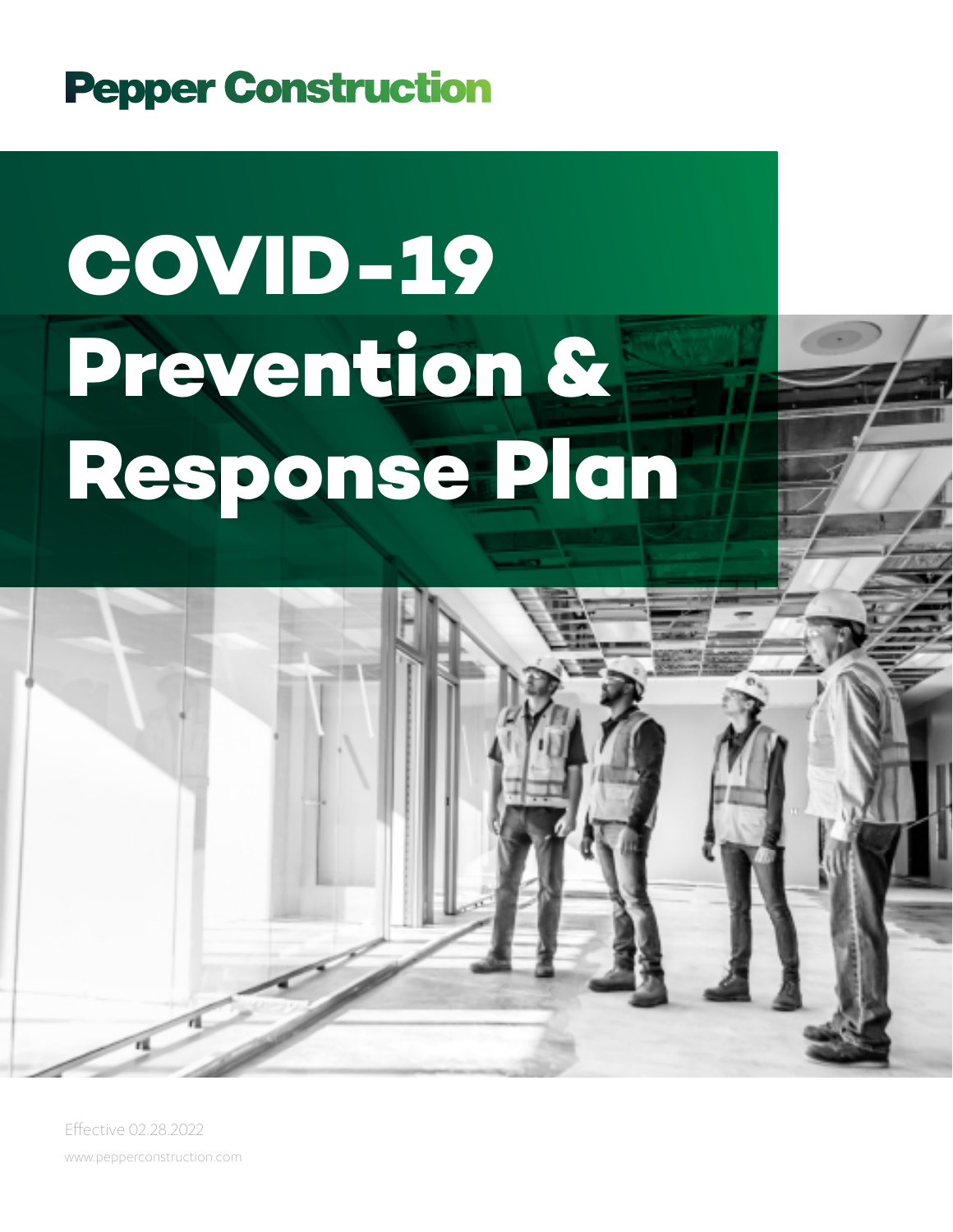### **Pepper Construction**

# **COVID-19 Prevention & Response Plan**

www.pepperconstruction.com Effective 02.28.2022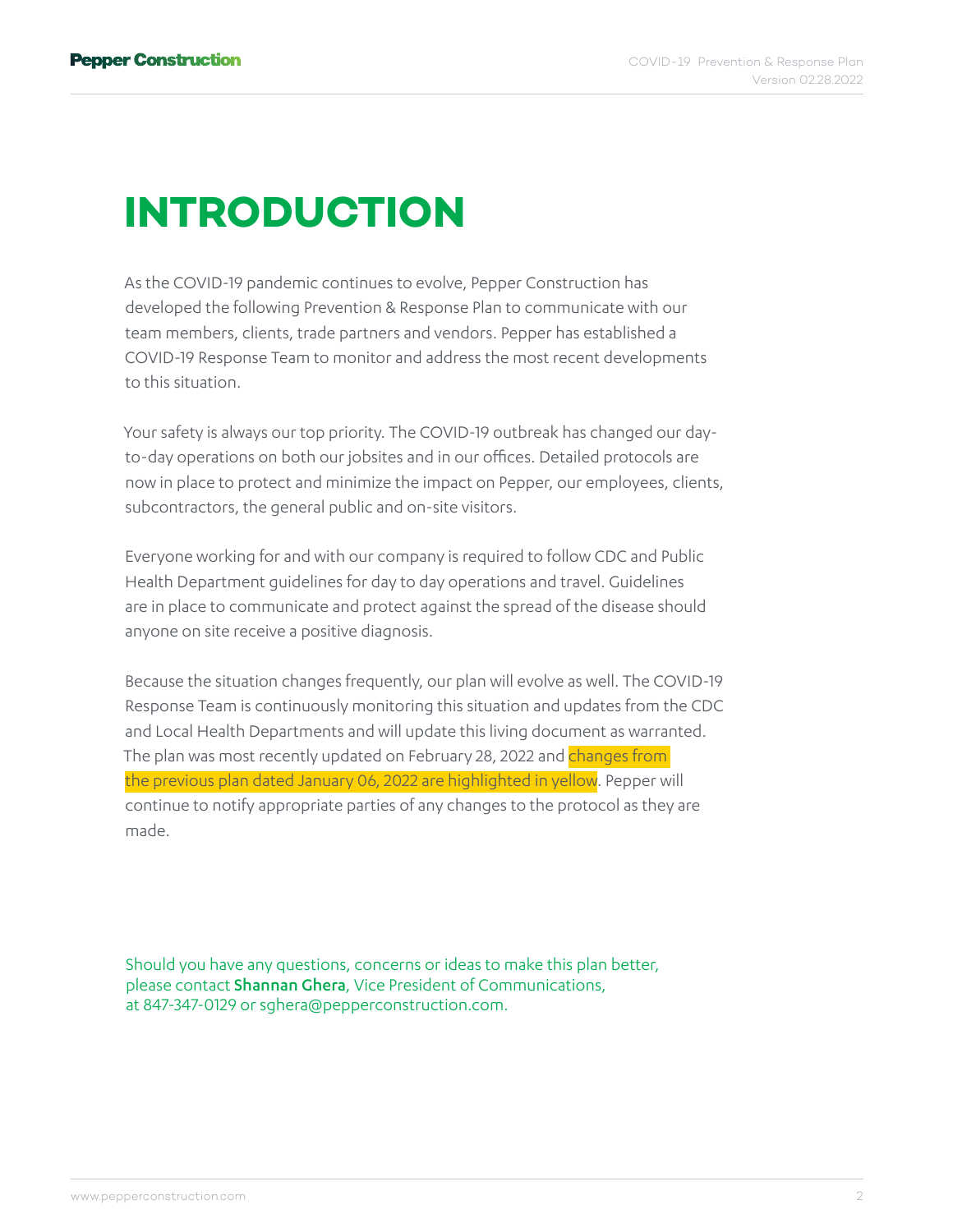### **INTRODUCTION**

As the COVID-19 pandemic continues to evolve, Pepper Construction has developed the following Prevention & Response Plan to communicate with our team members, clients, trade partners and vendors. Pepper has established a COVID-19 Response Team to monitor and address the most recent developments to this situation.

Your safety is always our top priority. The COVID-19 outbreak has changed our dayto-day operations on both our jobsites and in our offices. Detailed protocols are now in place to protect and minimize the impact on Pepper, our employees, clients, subcontractors, the general public and on-site visitors.

Everyone working for and with our company is required to follow CDC and Public Health Department guidelines for day to day operations and travel. Guidelines are in place to communicate and protect against the spread of the disease should anyone on site receive a positive diagnosis.

Because the situation changes frequently, our plan will evolve as well. The COVID-19 Response Team is continuously monitoring this situation and updates from the CDC and Local Health Departments and will update this living document as warranted. The plan was most recently updated on February 28, 2022 and changes from the previous plan dated January 06, 2022 are highlighted in yellow. Pepper will continue to notify appropriate parties of any changes to the protocol as they are made.

Should you have any questions, concerns or ideas to make this plan better, please contact Shannan Ghera, Vice President of Communications, at 847-347-0129 or [sghera@pepperconstruction.com.](mailto:%20sghera%40pepperconstruction.com?subject=Pepper%20Construction%27s%20COVID-19%20Prevention%20and%20Response%20Plan)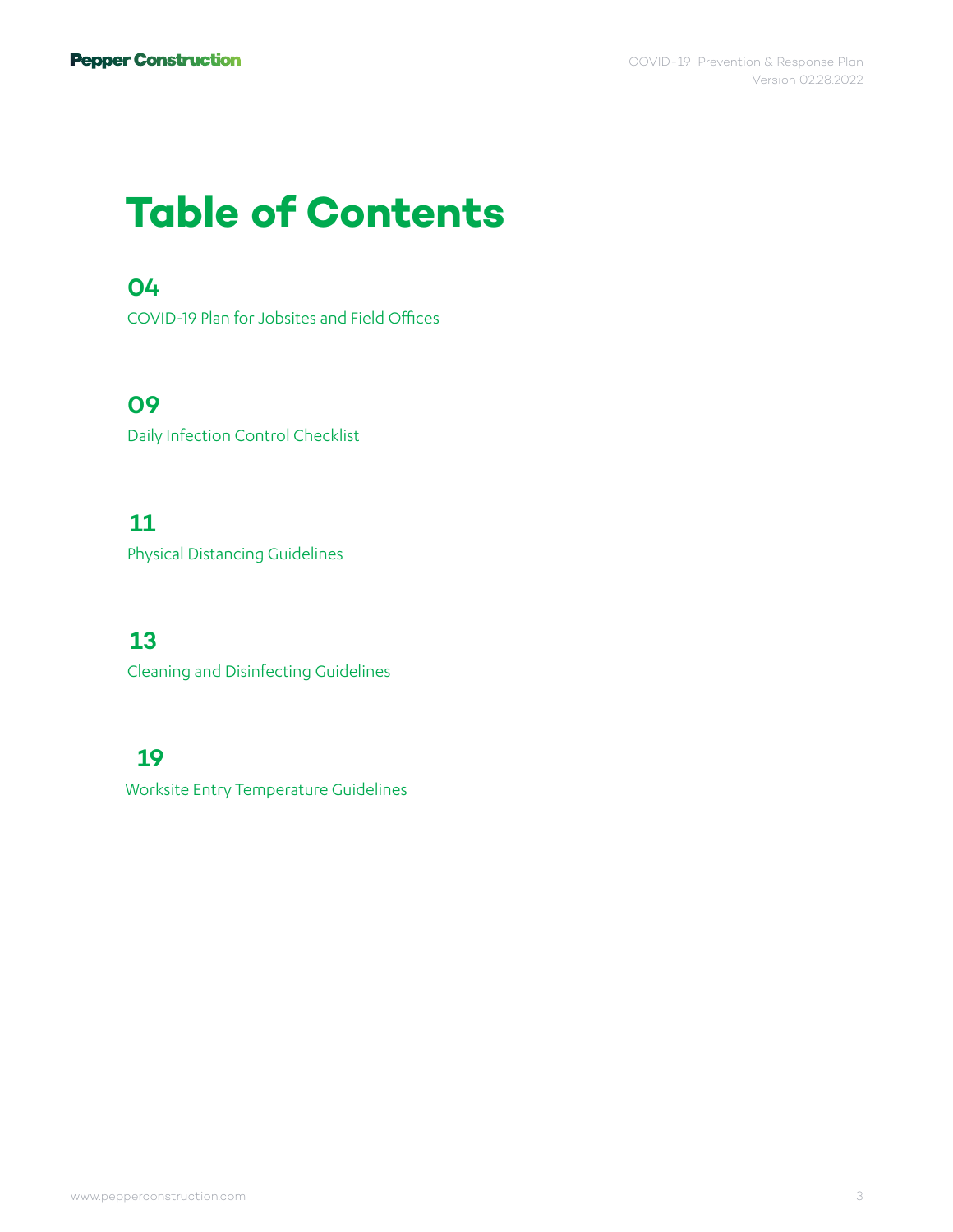### **Table of Contents**

#### **[04](#page-3-0)**

[COVID-19 Plan for Jobsites and Field Offices](#page-3-0)

#### **[09](#page-8-0)**

[Daily Infection Control Checklist](#page-8-0)

#### **[11](#page-10-0)**

[Physical Distancing Guidelines](#page-10-0)

#### **[13](#page-12-0)**

[Cleaning and Disinfecting Guidelines](#page-12-0)

#### **[19](#page-18-0)**

[Worksite Entry Temperature Guidelines](#page-18-0)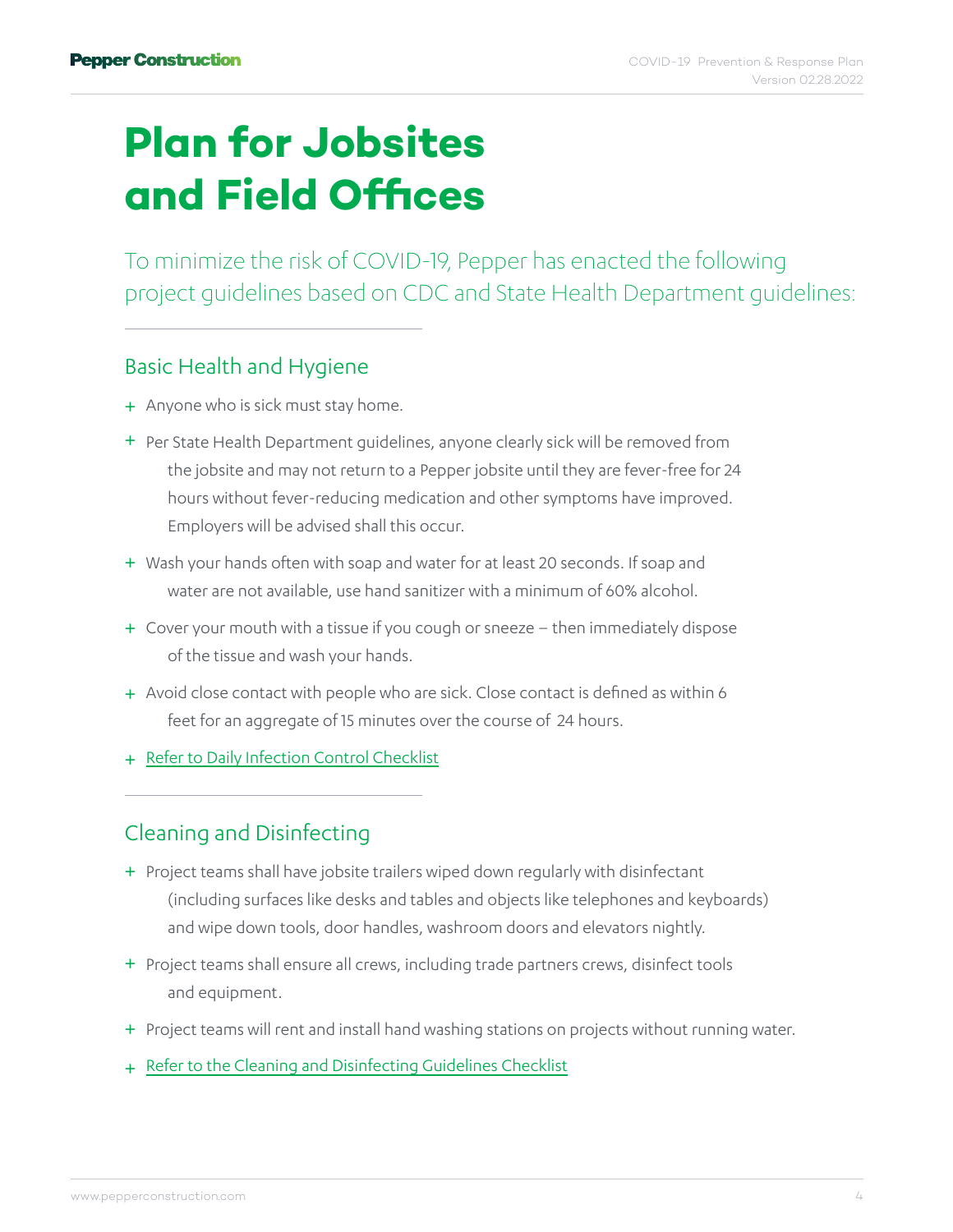## <span id="page-3-0"></span>**Plan for Jobsites and Field Offices**

To minimize the risk of COVID-19, Pepper has enacted the following project guidelines based on CDC and State Health Department guidelines:

#### Basic Health and Hygiene

- + Anyone who is sick must stay home.
- + Per State Health Department guidelines, anyone clearly sick will be removed from the jobsite and may not return to a Pepper jobsite until they are fever-free for 24 hours without fever-reducing medication and other symptoms have improved. Employers will be advised shall this occur.
- + Wash your hands often with soap and water for at least 20 seconds. If soap and water are not available, use hand sanitizer with a minimum of 60% alcohol.
- + Cover your mouth with a tissue if you cough or sneeze then immediately dispose of the tissue and wash your hands.
- + Avoid close contact with people who are sick. Close contact is defined as within 6 feet for an aggregate of 15 minutes over the course of 24 hours.
- + [Refer to Daily Infection Control Checklist](#page-8-0)

#### Cleaning and Disinfecting

- + Project teams shall have jobsite trailers wiped down regularly with disinfectant (including surfaces like desks and tables and objects like telephones and keyboards) and wipe down tools, door handles, washroom doors and elevators nightly.
- + Project teams shall ensure all crews, including trade partners crews, disinfect tools and equipment.
- + Project teams will rent and install hand washing stations on projects without running water.
- + [Refer to the Cleaning and Disinfecting Guidelines Checklist](#page-12-0)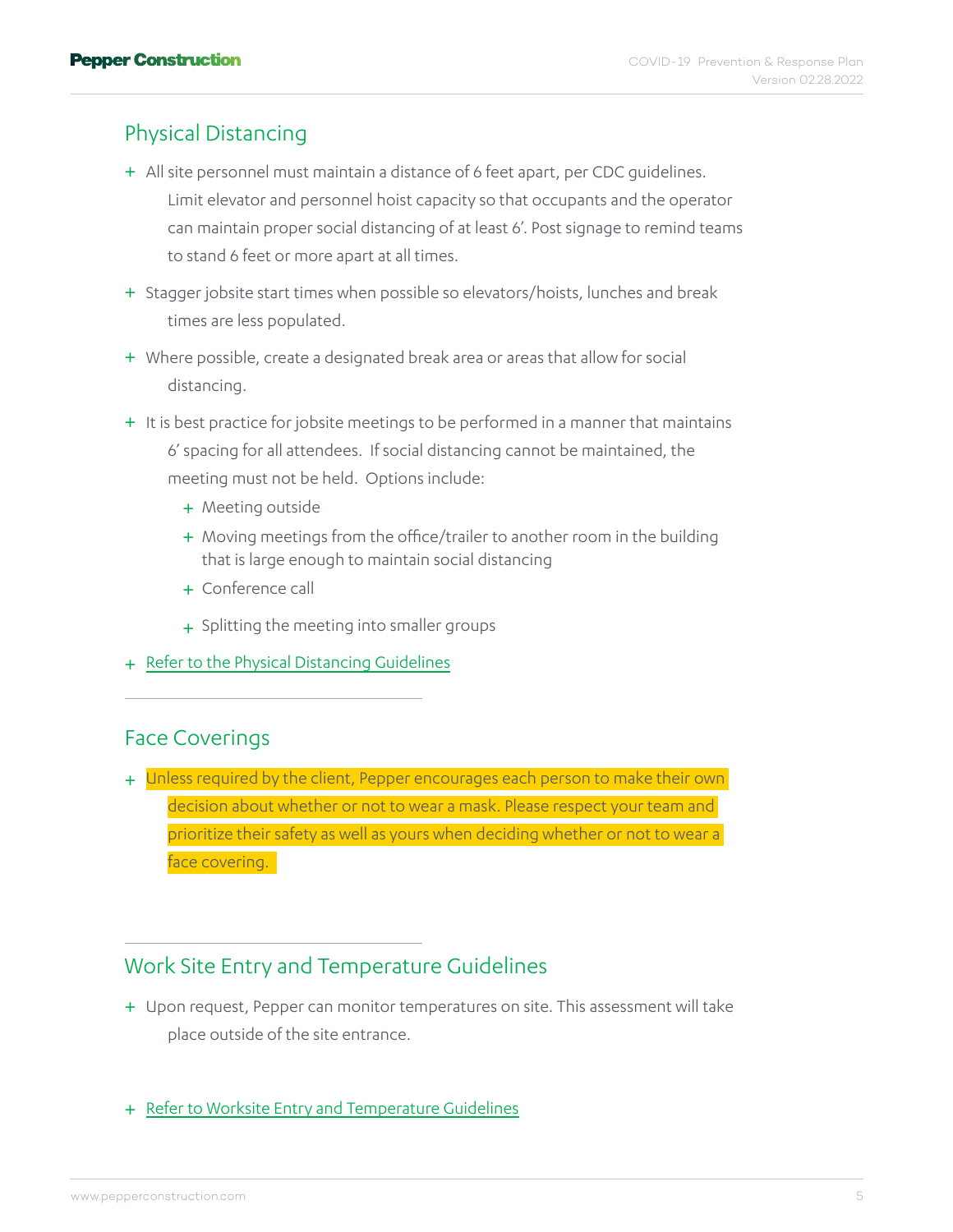#### Physical Distancing

- + All site personnel must maintain a distance of 6 feet apart, per CDC guidelines. Limit elevator and personnel hoist capacity so that occupants and the operator can maintain proper social distancing of at least 6'. Post signage to remind teams to stand 6 feet or more apart at all times.
- + Stagger jobsite start times when possible so elevators/hoists, lunches and break times are less populated.
- Where possible, create a designated break area or areas that allow for social + distancing.
- + It is best practice for jobsite meetings to be performed in a manner that maintains 6' spacing for all attendees. If social distancing cannot be maintained, the meeting must not be held. Options include:
	- + Meeting outside
	- + Moving meetings from the office/trailer to another room in the building that is large enough to maintain social distancing
	- + Conference call
	- + Splitting the meeting into smaller groups
- + [Refer to the Physical Distancing Guidelines](#page-10-0)

#### Face Coverings

+ Unless required by the client, Pepper encourages each person to make their own decision about whether or not to wear a mask. Please respect your team and prioritize their safety as well as yours when deciding whether or not to wear a face covering.

#### Work Site Entry and Temperature Guidelines

- + Upon request, Pepper can monitor temperatures on site. This assessment will take place outside of the site entrance.
- + [Refer to Worksite Entry and Temperature Guidelines](#page-18-0)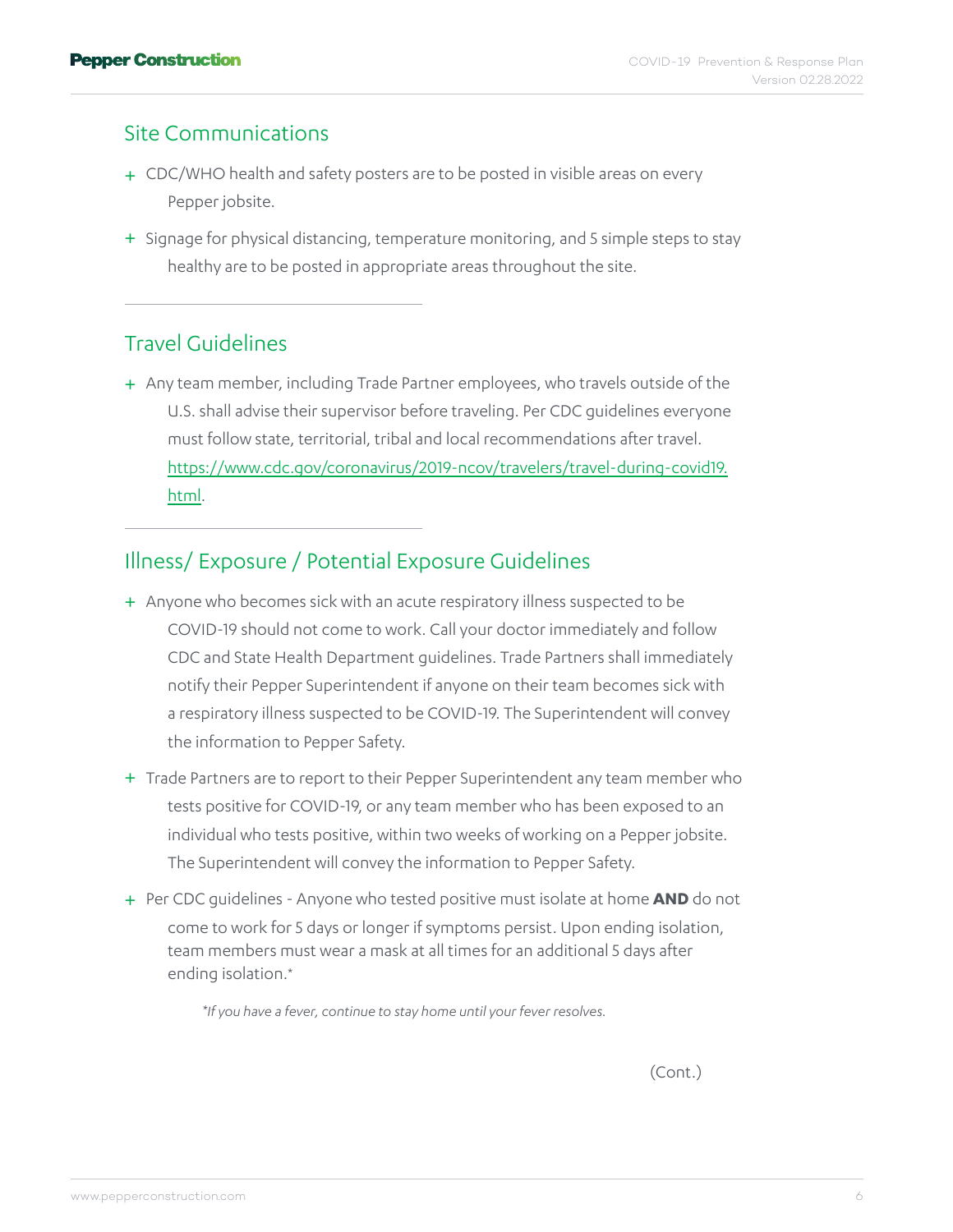#### Site Communications

- + CDC/WHO health and safety posters are to be posted in visible areas on every Pepper jobsite.
- + Signage for physical distancing, temperature monitoring, and 5 simple steps to stay healthy are to be posted in appropriate areas throughout the site.

#### Travel Guidelines

+ Any team member, including Trade Partner employees, who travels outside of the U.S. shall advise their supervisor before traveling. Per CDC guidelines everyone must follow state, territorial, tribal and local recommendations after travel. [https://www.cdc.gov/coronavirus/2019-ncov/travelers/travel-during-covid19.](https://www.cdc.gov/coronavirus/2019-ncov/travelers/travel-during-covid19.html) [html](https://www.cdc.gov/coronavirus/2019-ncov/travelers/travel-during-covid19.html).

#### Illness/ Exposure / Potential Exposure Guidelines

- + Anyone who becomes sick with an acute respiratory illness suspected to be COVID-19 should not come to work. Call your doctor immediately and follow CDC and State Health Department guidelines. Trade Partners shall immediately notify their Pepper Superintendent if anyone on their team becomes sick with a respiratory illness suspected to be COVID-19. The Superintendent will convey the information to Pepper Safety.
- + Trade Partners are to report to their Pepper Superintendent any team member who tests positive for COVID-19, or any team member who has been exposed to an individual who tests positive, within two weeks of working on a Pepper jobsite. The Superintendent will convey the information to Pepper Safety.
- Per CDC guidelines Anyone who tested positive must isolate at home **AND** do not + come to work for 5 days or longer if symptoms persist. Upon ending isolation, team members must wear a mask at all times for an additional 5 days after ending isolation.\*

*\*If you have a fever, continue to stay home until your fever resolves.*

(Cont.)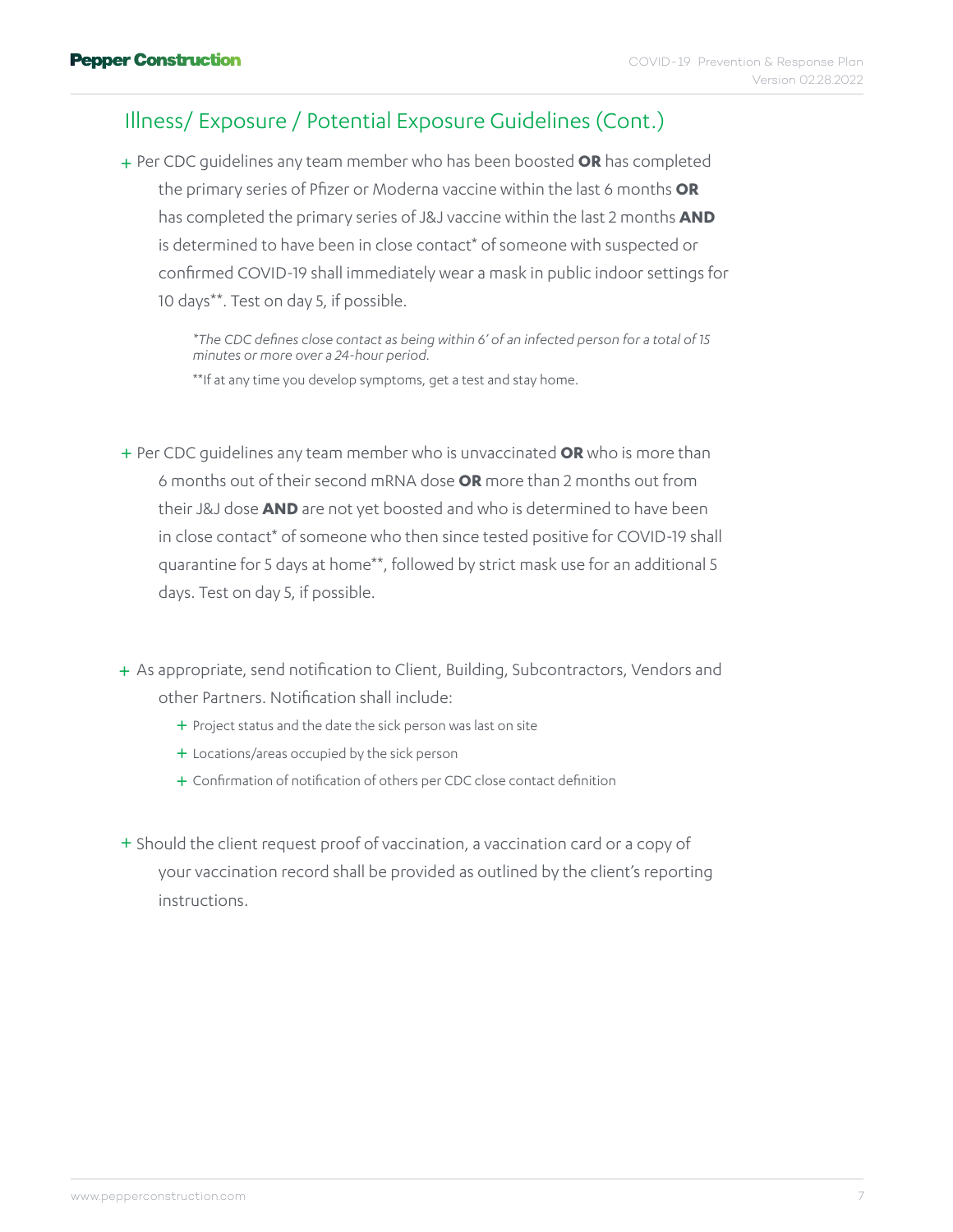#### Illness/ Exposure / Potential Exposure Guidelines (Cont.)

Per CDC guidelines any team member who has been boosted **OR** has completed + the primary series of Pfizer or Moderna vaccine within the last 6 months **OR** has completed the primary series of J&J vaccine within the last 2 months **AND** is determined to have been in close contact\* of someone with suspected or confirmed COVID-19 shall immediately wear a mask in public indoor settings for 10 days\*\*. Test on day 5, if possible.

 *\*The CDC defines close contact as being within 6' of an infected person for a total of 15 minutes or more over a 24-hour period.*

\*\*If at any time you develop symptoms, get a test and stay home.

Per CDC guidelines any team member who is unvaccinated **OR** who is more than + 6 months out of their second mRNA dose **OR** more than 2 months out from their J&J dose **AND** are not yet boosted and who is determined to have been in close contact\* of someone who then since tested positive for COVID-19 shall quarantine for 5 days at home\*\*, followed by strict mask use for an additional 5 days. Test on day 5, if possible.

+ As appropriate, send notification to Client, Building, Subcontractors, Vendors and other Partners. Notification shall include:

- + Project status and the date the sick person was last on site
- + Locations/areas occupied by the sick person
- + Confirmation of notification of others per CDC close contact definition
- + Should the client request proof of vaccination, a vaccination card or a copy of your vaccination record shall be provided as outlined by the client's reporting instructions.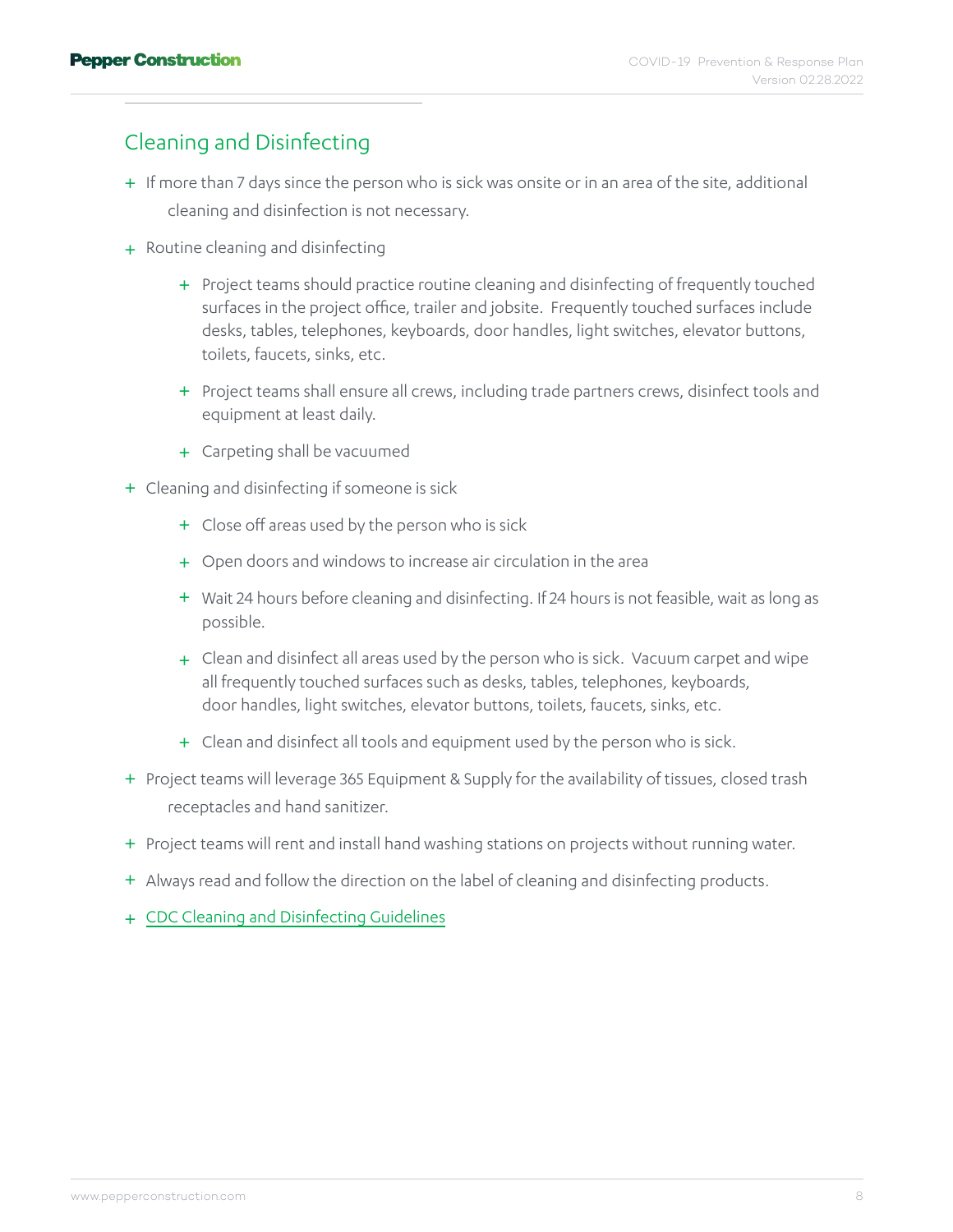#### Cleaning and Disinfecting

- + If more than 7 days since the person who is sick was onsite or in an area of the site, additional cleaning and disinfection is not necessary.
- + Routine cleaning and disinfecting
	- + Project teams should practice routine cleaning and disinfecting of frequently touched surfaces in the project office, trailer and jobsite. Frequently touched surfaces include desks, tables, telephones, keyboards, door handles, light switches, elevator buttons, toilets, faucets, sinks, etc.
	- + Project teams shall ensure all crews, including trade partners crews, disinfect tools and equipment at least daily.
	- + Carpeting shall be vacuumed
- + Cleaning and disinfecting if someone is sick
	- + Close off areas used by the person who is sick
	- + Open doors and windows to increase air circulation in the area
	- Wait 24 hours before cleaning and disinfecting. If 24 hours is not feasible, wait as long as + possible.
	- + Clean and disinfect all areas used by the person who is sick. Vacuum carpet and wipe all frequently touched surfaces such as desks, tables, telephones, keyboards, door handles, light switches, elevator buttons, toilets, faucets, sinks, etc.
	- + Clean and disinfect all tools and equipment used by the person who is sick.
- + Project teams will leverage 365 Equipment & Supply for the availability of tissues, closed trash receptacles and hand sanitizer.
- + Project teams will rent and install hand washing stations on projects without running water.
- + Always read and follow the direction on the label of cleaning and disinfecting products.
- + [CDC Cleaning and Disinfecting Guidelines](https://www.cdc.gov/coronavirus/2019-ncov/community/disinfecting-building-facility.html)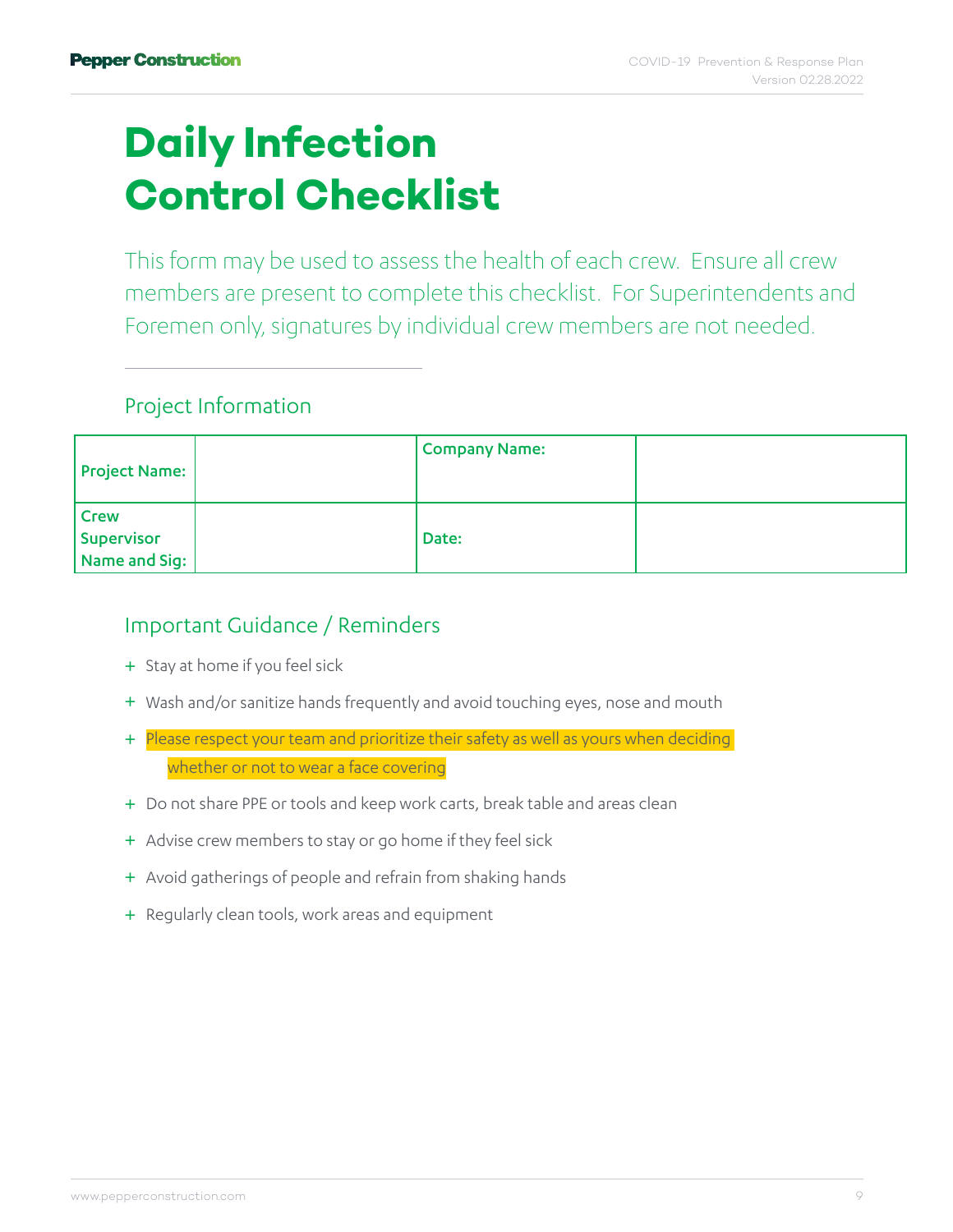### <span id="page-8-0"></span>**Daily Infection Control Checklist**

This form may be used to assess the health of each crew. Ensure all crew members are present to complete this checklist. For Superintendents and Foremen only, signatures by individual crew members are not needed.

#### Project Information

| Project Name:                                                                     | Company Name: |  |
|-----------------------------------------------------------------------------------|---------------|--|
| Crew<br>$\begin{array}{ l } \text{Supervisor} & \text{Name and Sig:} \end{array}$ | Date:         |  |

#### Important Guidance / Reminders

- + Stay at home if you feel sick
- + Wash and/or sanitize hands frequently and avoid touching eyes, nose and mouth
- + Please respect your team and prioritize their safety as well as yours when deciding whether or not to wear a face covering
- + Do not share PPE or tools and keep work carts, break table and areas clean
- + Advise crew members to stay or go home if they feel sick
- + Avoid gatherings of people and refrain from shaking hands
- + Regularly clean tools, work areas and equipment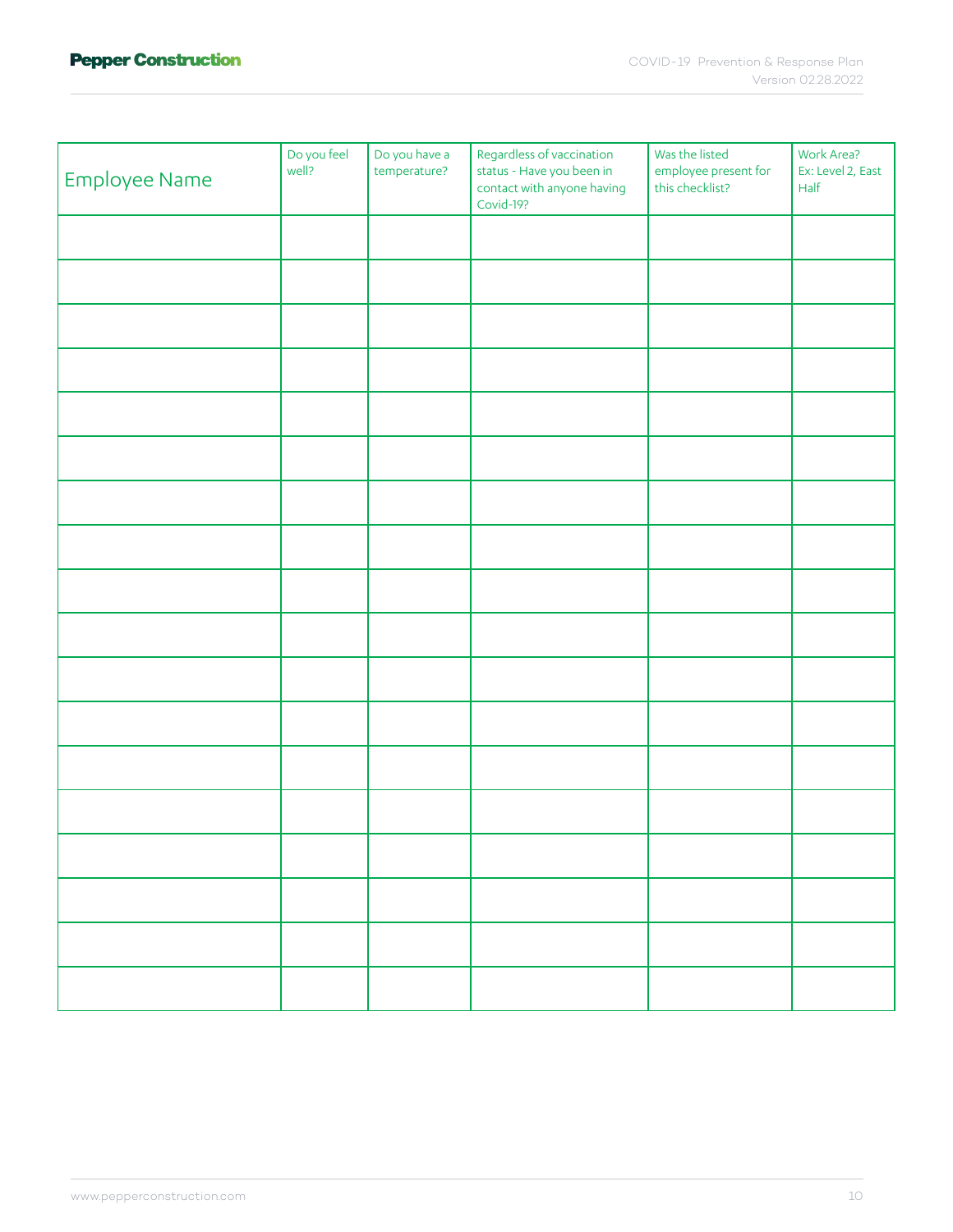| Employee Name | Do you feel<br>well? | Do you have a<br>temperature? | Regardless of vaccination<br>status - Have you been in<br>contact with anyone having<br>Covid-19? | Was the listed<br>employee present for<br>this checklist? | Work Area?<br>Ex: Level 2, East<br>Half |
|---------------|----------------------|-------------------------------|---------------------------------------------------------------------------------------------------|-----------------------------------------------------------|-----------------------------------------|
|               |                      |                               |                                                                                                   |                                                           |                                         |
|               |                      |                               |                                                                                                   |                                                           |                                         |
|               |                      |                               |                                                                                                   |                                                           |                                         |
|               |                      |                               |                                                                                                   |                                                           |                                         |
|               |                      |                               |                                                                                                   |                                                           |                                         |
|               |                      |                               |                                                                                                   |                                                           |                                         |
|               |                      |                               |                                                                                                   |                                                           |                                         |
|               |                      |                               |                                                                                                   |                                                           |                                         |
|               |                      |                               |                                                                                                   |                                                           |                                         |
|               |                      |                               |                                                                                                   |                                                           |                                         |
|               |                      |                               |                                                                                                   |                                                           |                                         |
|               |                      |                               |                                                                                                   |                                                           |                                         |
|               |                      |                               |                                                                                                   |                                                           |                                         |
|               |                      |                               |                                                                                                   |                                                           |                                         |
|               |                      |                               |                                                                                                   |                                                           |                                         |
|               |                      |                               |                                                                                                   |                                                           |                                         |
|               |                      |                               |                                                                                                   |                                                           |                                         |
|               |                      |                               |                                                                                                   |                                                           |                                         |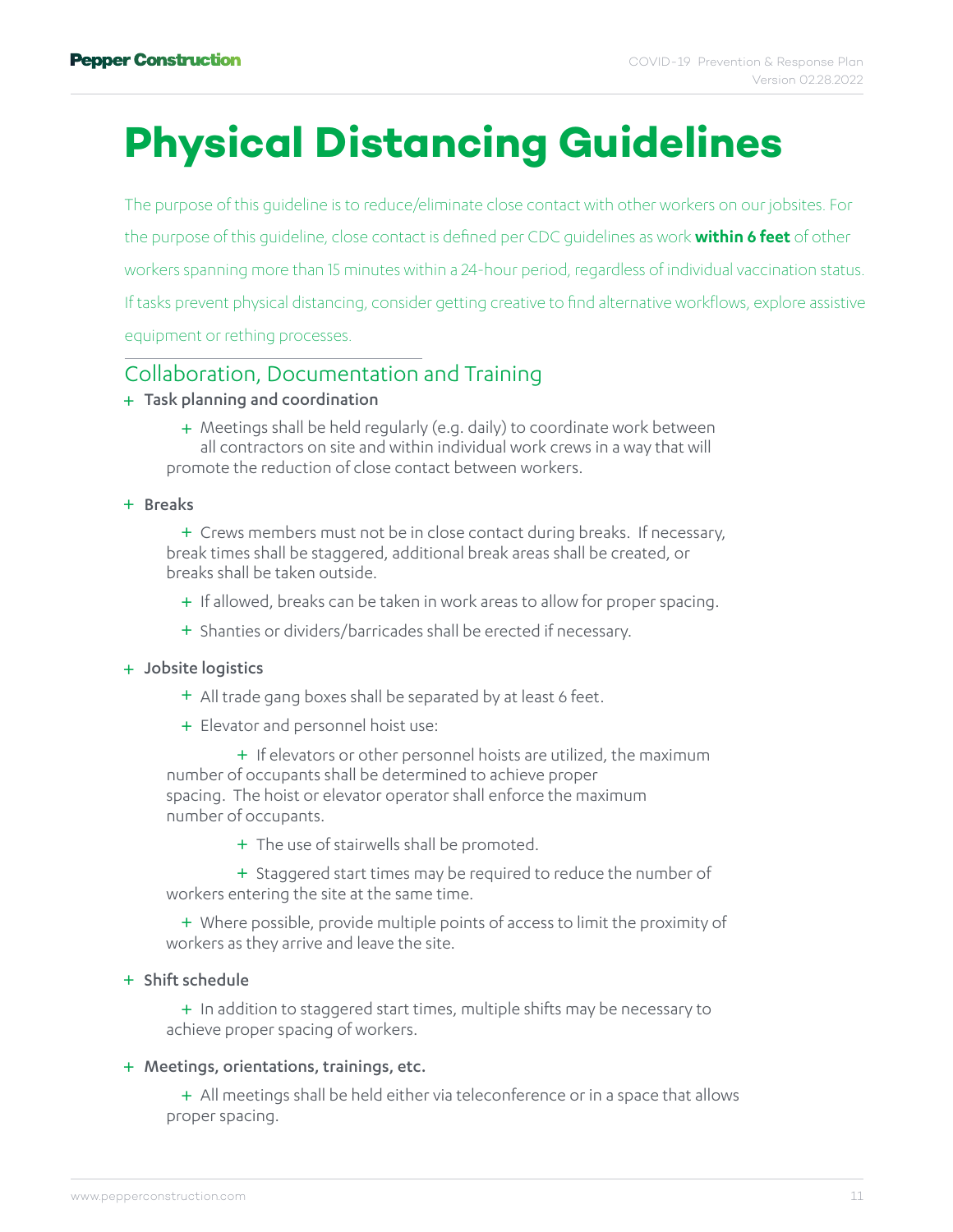### <span id="page-10-0"></span>**Physical Distancing Guidelines**

The purpose of this guideline is to reduce/eliminate close contact with other workers on our jobsites. For the purpose of this guideline, close contact is defined per CDC guidelines as work **within 6 feet** of other workers spanning more than 15 minutes within a 24-hour period, regardless of individual vaccination status. If tasks prevent physical distancing, consider getting creative to find alternative workflows, explore assistive equipment or rething processes.

#### Collaboration, Documentation and Training

#### Task planning and coordination +

+ Meetings shall be held regularly (e.g. daily) to coordinate work between all contractors on site and within individual work crews in a way that will promote the reduction of close contact between workers.

+ Breaks

+ Crews members must not be in close contact during breaks. If necessary, break times shall be staggered, additional break areas shall be created, or breaks shall be taken outside.

+ If allowed, breaks can be taken in work areas to allow for proper spacing.

+ Shanties or dividers/barricades shall be erected if necessary.

#### + Jobsite logistics

- + All trade gang boxes shall be separated by at least 6 feet.
- + Elevator and personnel hoist use:

+ If elevators or other personnel hoists are utilized, the maximum number of occupants shall be determined to achieve proper spacing. The hoist or elevator operator shall enforce the maximum number of occupants.

+ The use of stairwells shall be promoted.

+ Staggered start times may be required to reduce the number of workers entering the site at the same time.

+ Where possible, provide multiple points of access to limit the proximity of workers as they arrive and leave the site.

#### + Shift schedule

+ In addition to staggered start times, multiple shifts may be necessary to achieve proper spacing of workers.

#### + Meetings, orientations, trainings, etc.

+ All meetings shall be held either via teleconference or in a space that allows proper spacing.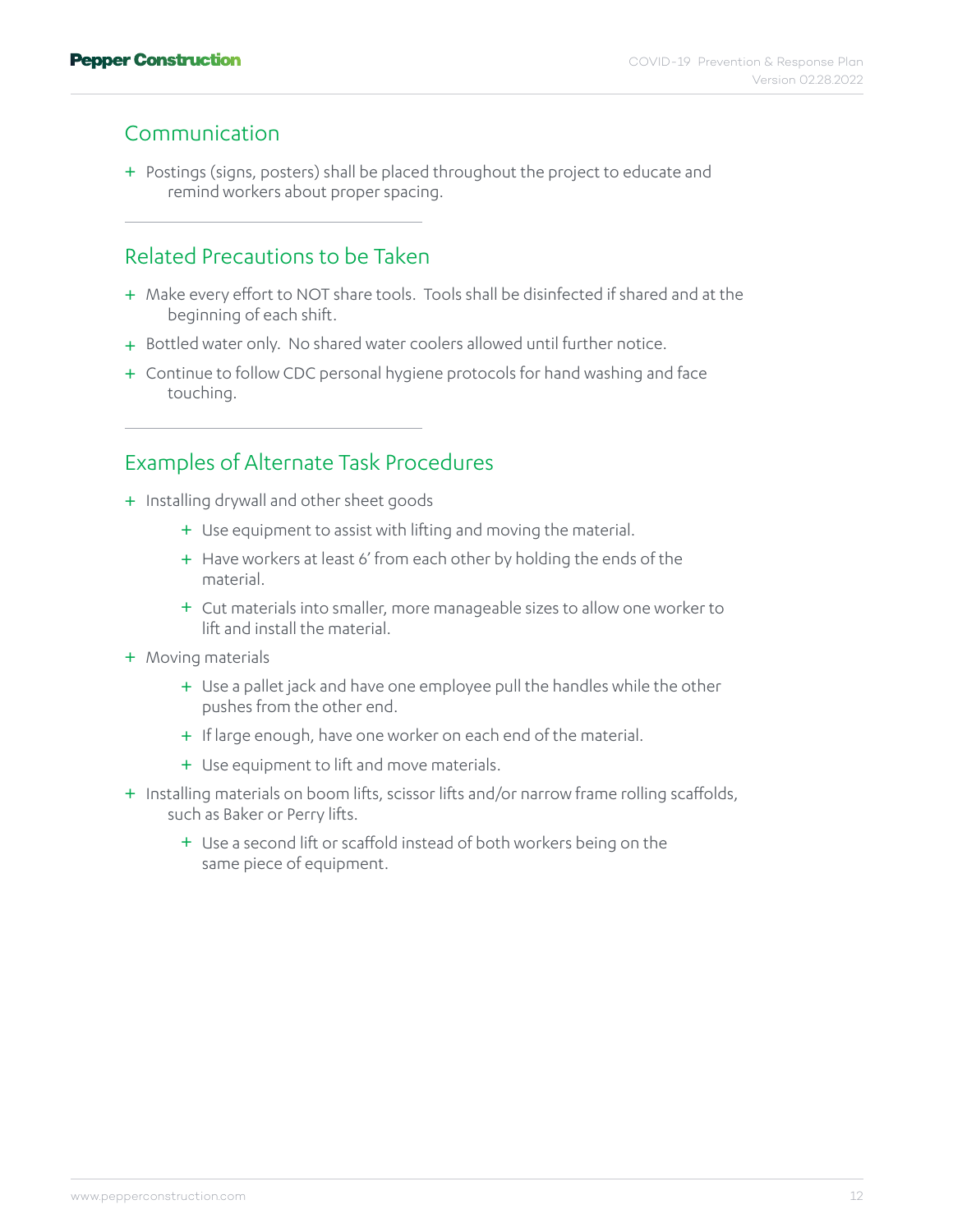#### Communication

+ Postings (signs, posters) shall be placed throughout the project to educate and remind workers about proper spacing.

#### Related Precautions to be Taken

- + Make every effort to NOT share tools. Tools shall be disinfected if shared and at the beginning of each shift.
- + Bottled water only. No shared water coolers allowed until further notice.
- + Continue to follow CDC personal hygiene protocols for hand washing and face touching.

#### Examples of Alternate Task Procedures

- + Installing drywall and other sheet goods
	- + Use equipment to assist with lifting and moving the material.
	- + Have workers at least 6' from each other by holding the ends of the material.
	- Cut materials into smaller, more manageable sizes to allow one worker to + lift and install the material.
- + Moving materials
	- + Use a pallet jack and have one employee pull the handles while the other pushes from the other end.
	- + If large enough, have one worker on each end of the material.
	- + Use equipment to lift and move materials.
- + Installing materials on boom lifts, scissor lifts and/or narrow frame rolling scaffolds, such as Baker or Perry lifts.
	- + Use a second lift or scaffold instead of both workers being on the same piece of equipment.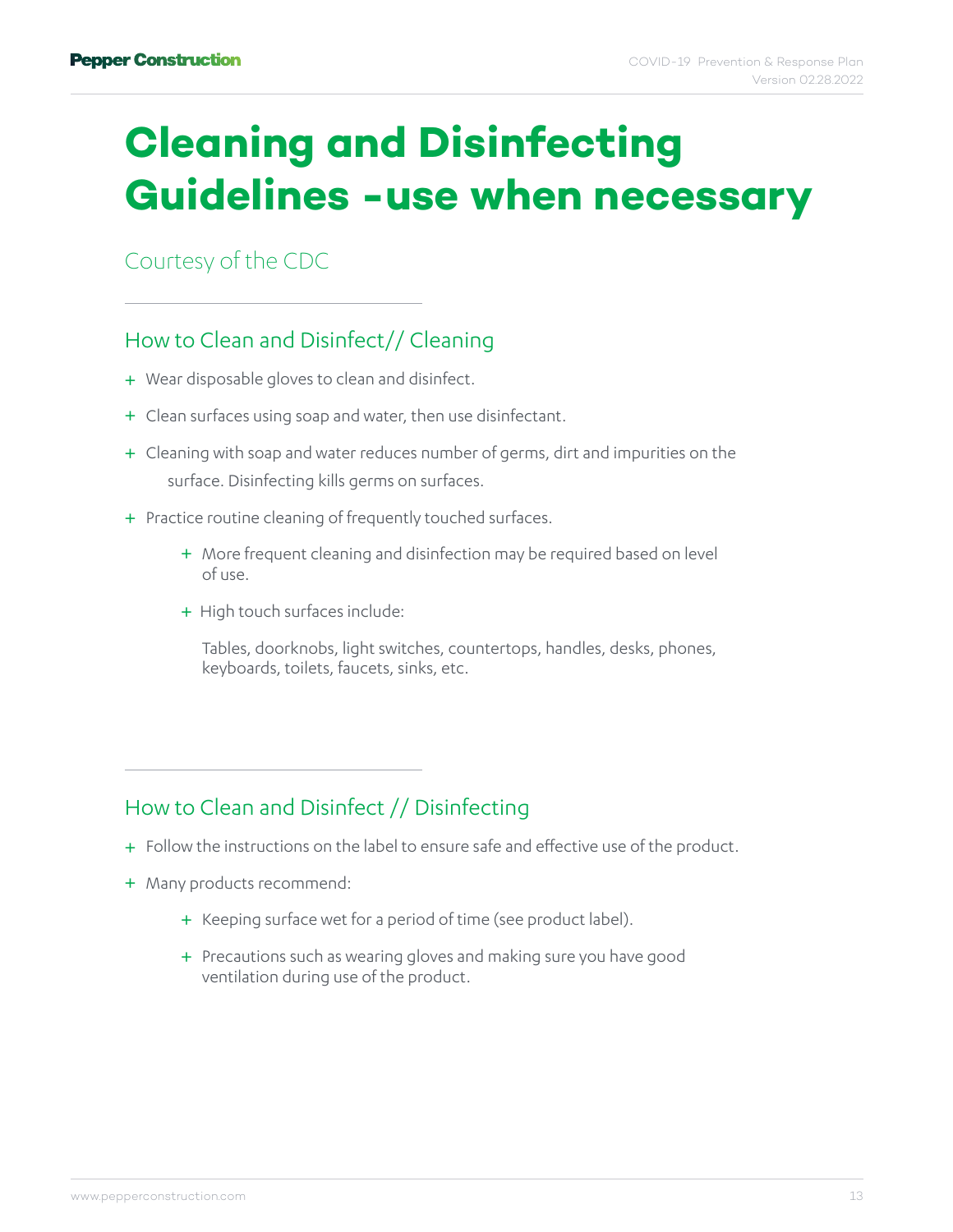### <span id="page-12-0"></span>**Cleaning and Disinfecting Guidelines -use when necessary**

[Courtesy of the CDC](https://www.cdc.gov/coronavirus/2019-ncov/community/disinfecting-building-facility.html)

#### How to Clean and Disinfect// Cleaning

- + Wear disposable gloves to clean and disinfect.
- + Clean surfaces using soap and water, then use disinfectant.
- + Cleaning with soap and water reduces number of germs, dirt and impurities on the surface. Disinfecting kills germs on surfaces.
- + Practice routine cleaning of frequently touched surfaces.
	- + More frequent cleaning and disinfection may be required based on level of use.
	- + High touch surfaces include:

 Tables, doorknobs, light switches, countertops, handles, desks, phones, keyboards, toilets, faucets, sinks, etc.

#### How to Clean and Disinfect // Disinfecting

- + Follow the instructions on the label to ensure safe and effective use of the product.
- + Many products recommend:
	- + Keeping surface wet for a period of time (see product label).
	- Precautions such as wearing gloves and making sure you have good +ventilation during use of the product.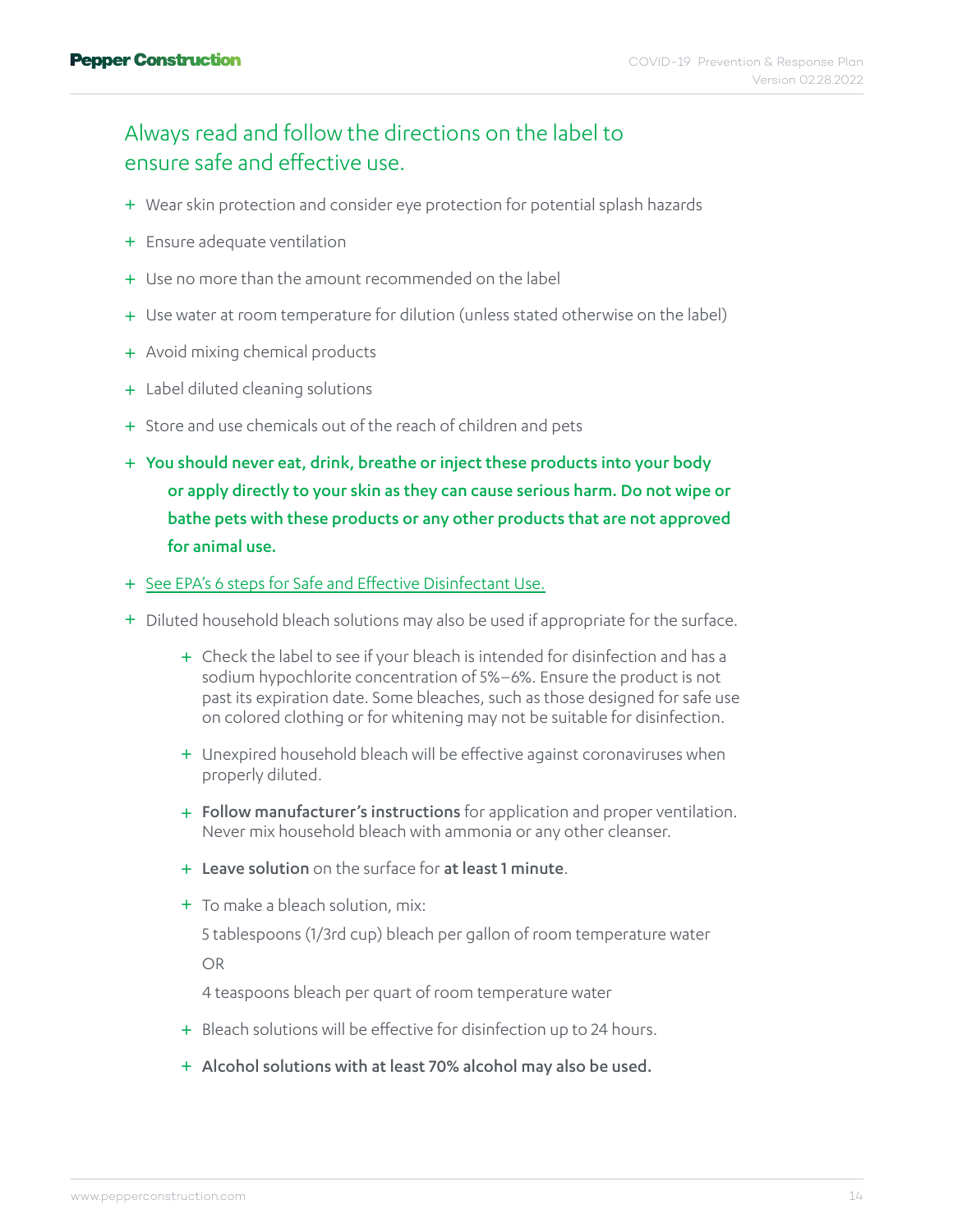#### Always read and follow the directions on the label to ensure safe and effective use.

- + Wear skin protection and consider eye protection for potential splash hazards
- + Ensure adequate ventilation
- + Use no more than the amount recommended on the label
- + Use water at room temperature for dilution (unless stated otherwise on the label)
- + Avoid mixing chemical products
- + Label diluted cleaning solutions
- + Store and use chemicals out of the reach of children and pets
- + You should never eat, drink, breathe or inject these products into your body or apply directly to your skin as they can cause serious harm. Do not wipe or bathe pets with these products or any other products that are not approved for animal use.
- + [See EPA's 6 steps for Safe and Effective Disinfectant Use.](https://www.epa.gov/pesticide-registration/six-steps-safe-effective-disinfectant-use)
- + Diluted household bleach solutions may also be used if appropriate for the surface.
	- + Check the label to see if your bleach is intended for disinfection and has a sodium hypochlorite concentration of 5%–6%. Ensure the product is not past its expiration date. Some bleaches, such as those designed for safe use on colored clothing or for whitening may not be suitable for disinfection.
	- + Unexpired household bleach will be effective against coronaviruses when properly diluted.
	- + Follow manufacturer's instructions for application and proper ventilation. Never mix household bleach with ammonia or any other cleanser.
	- + Leave solution on the surface for at least 1 minute.
	- + To make a bleach solution, mix:

 5 tablespoons (1/3rd cup) bleach per gallon of room temperature water OR

4 teaspoons bleach per quart of room temperature water

- + Bleach solutions will be effective for disinfection up to 24 hours.
- + Alcohol solutions with at least 70% alcohol may also be used.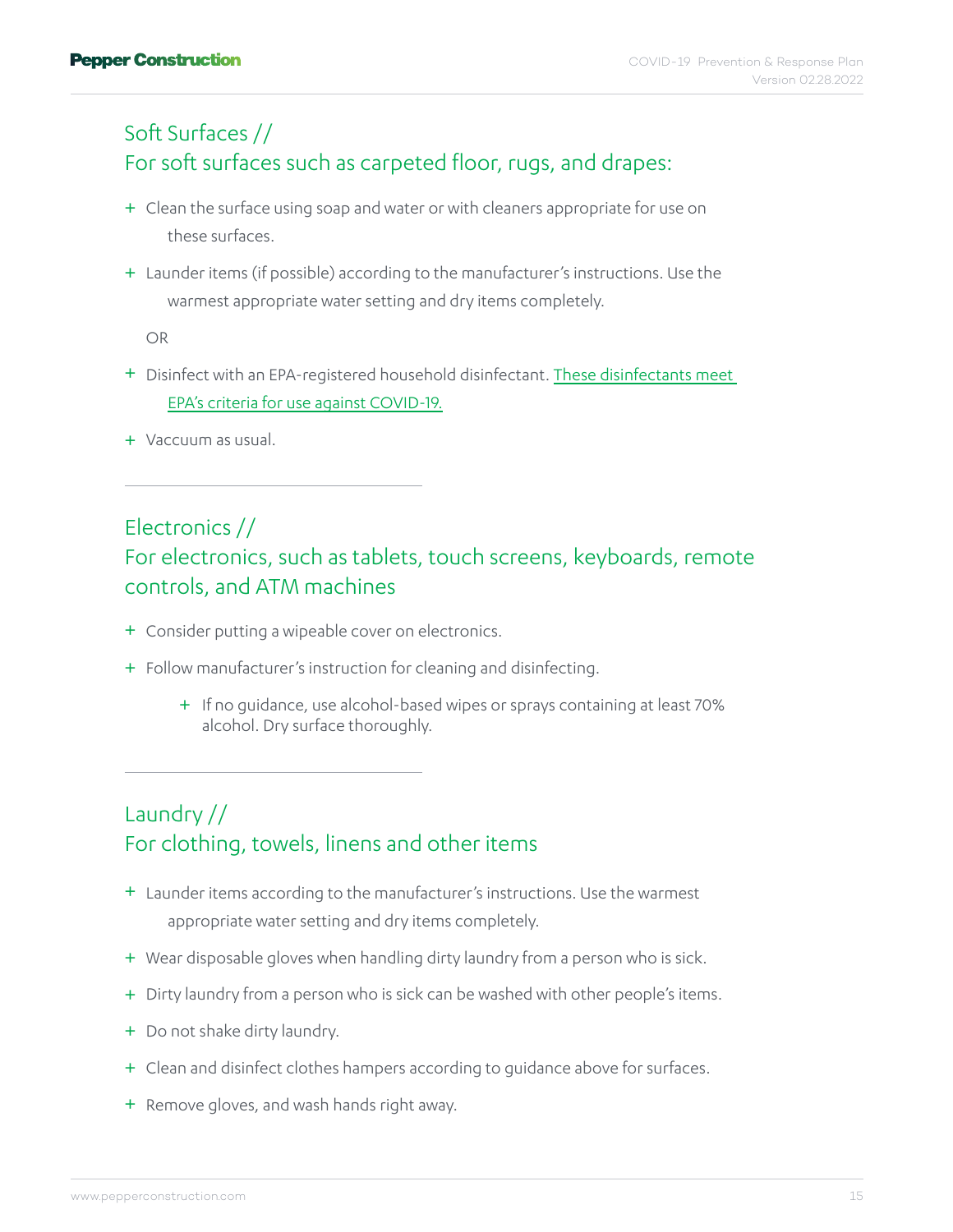#### Soft Surfaces // For soft surfaces such as carpeted floor, rugs, and drapes:

- + Clean the surface using soap and water or with cleaners appropriate for use on these surfaces.
- + Launder items (if possible) according to the manufacturer's instructions. Use the warmest appropriate water setting and dry items completely.

OR

- + Disinfect with an EPA-registered household disinfectant. These disinfectants meet [EPA's criteria for use against COVID-19.](https://www.epa.gov/pesticide-registration/list-n-disinfectants-use-against-sars-cov-2)
- + Vaccuum as usual.

#### Electronics //

#### For electronics, such as tablets, touch screens, keyboards, remote controls, and ATM machines

- Consider putting a wipeable cover on electronics. +
- + Follow manufacturer's instruction for cleaning and disinfecting.
	- + If no guidance, use alcohol-based wipes or sprays containing at least 70% alcohol. Dry surface thoroughly.

#### Laundry // For clothing, towels, linens and other items

- + Launder items according to the manufacturer's instructions. Use the warmest appropriate water setting and dry items completely.
- + Wear disposable gloves when handling dirty laundry from a person who is sick.
- + Dirty laundry from a person who is sick can be washed with other people's items.
- + Do not shake dirty laundry.
- + Clean and disinfect clothes hampers according to guidance above for surfaces.
- + Remove gloves, and wash hands right away.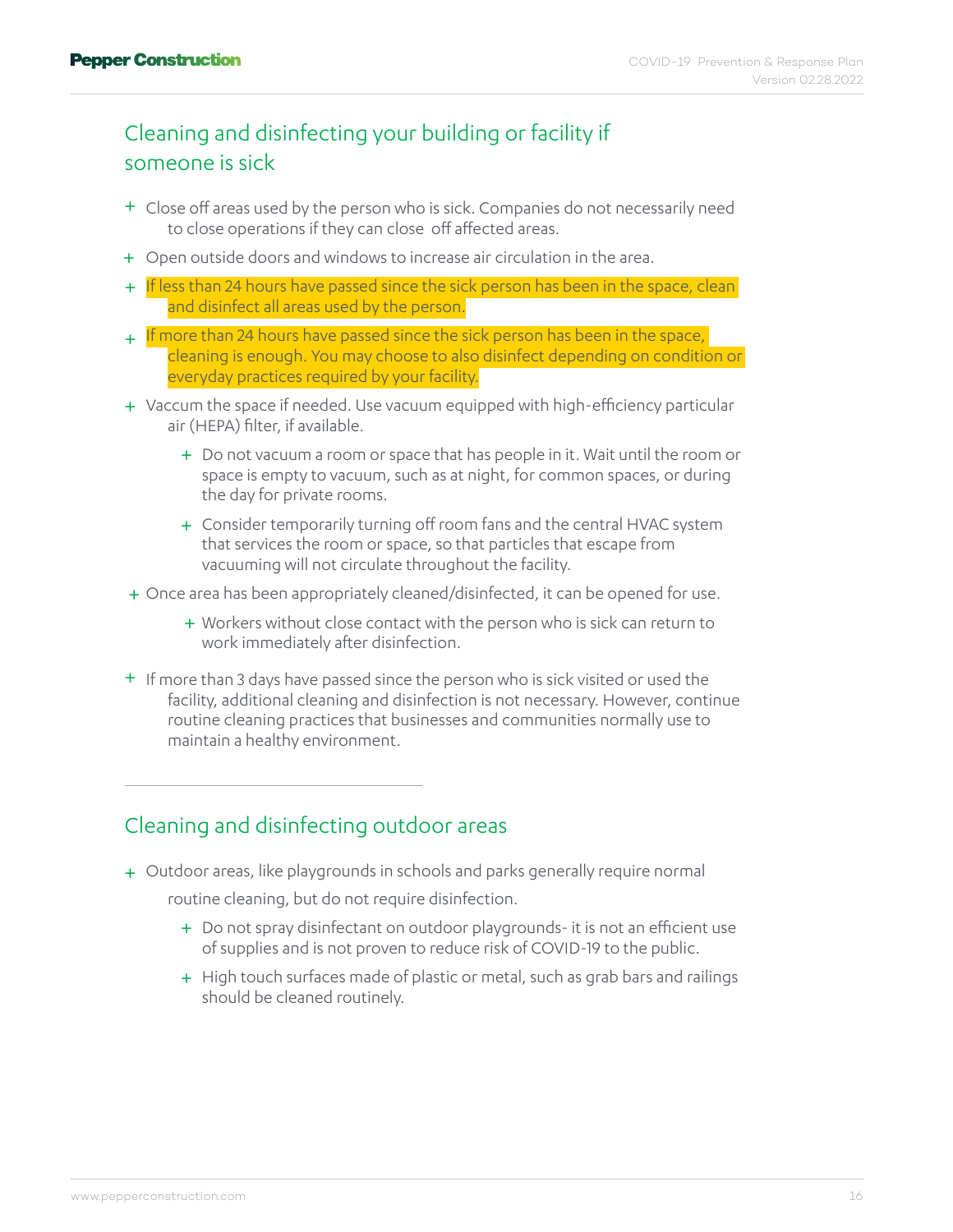#### Cleaning and disinfecting your building or facility if someone is sick

- Close off areas used by the person who is sick. Companies do not necessarily need + to close operations if they can close off affected areas.
- + Open outside doors and windows to increase air circulation in the area.
- + If less than 24 hours have passed since the sick person has been in the space, clean and disinfect all areas used by the person.
- + If more than 24 hours have passed since the sick person has been in the space, cleaning is enough. You may choose to also disinfect depending on condition or everyday practices required by your facility.
- Vaccum the space if needed. Use vacuum equipped with high-efficiency particular + air (HEPA) filter, if available.
	- Do not vacuum a room or space that has people in it. Wait until the room or + space is empty to vacuum, such as at night, for common spaces, or during the day for private rooms.
	- + Consider temporarily turning off room fans and the central HVAC system that services the room or space, so that particles that escape from vacuuming will not circulate throughout the facility.
- Once area has been appropriately cleaned/disinfected, it can be opened for use. +
	- + Workers without close contact with the person who is sick can return to work immediately after disinfection.
- + If more than 3 days have passed since the person who is sick visited or used the facility, additional cleaning and disinfection is not necessary. However, continue routine cleaning practices that businesses and communities normally use to maintain a healthy environment.

#### Cleaning and disinfecting outdoor areas

Outdoor areas, like playgrounds in schools and parks generally require normal +

routine cleaning, but do not require disinfection.

- + Do not spray disinfectant on outdoor playgrounds- it is not an efficient use of supplies and is not proven to reduce risk of COVID-19 to the public.
- + High touch surfaces made of plastic or metal, such as grab bars and railings should be cleaned routinely.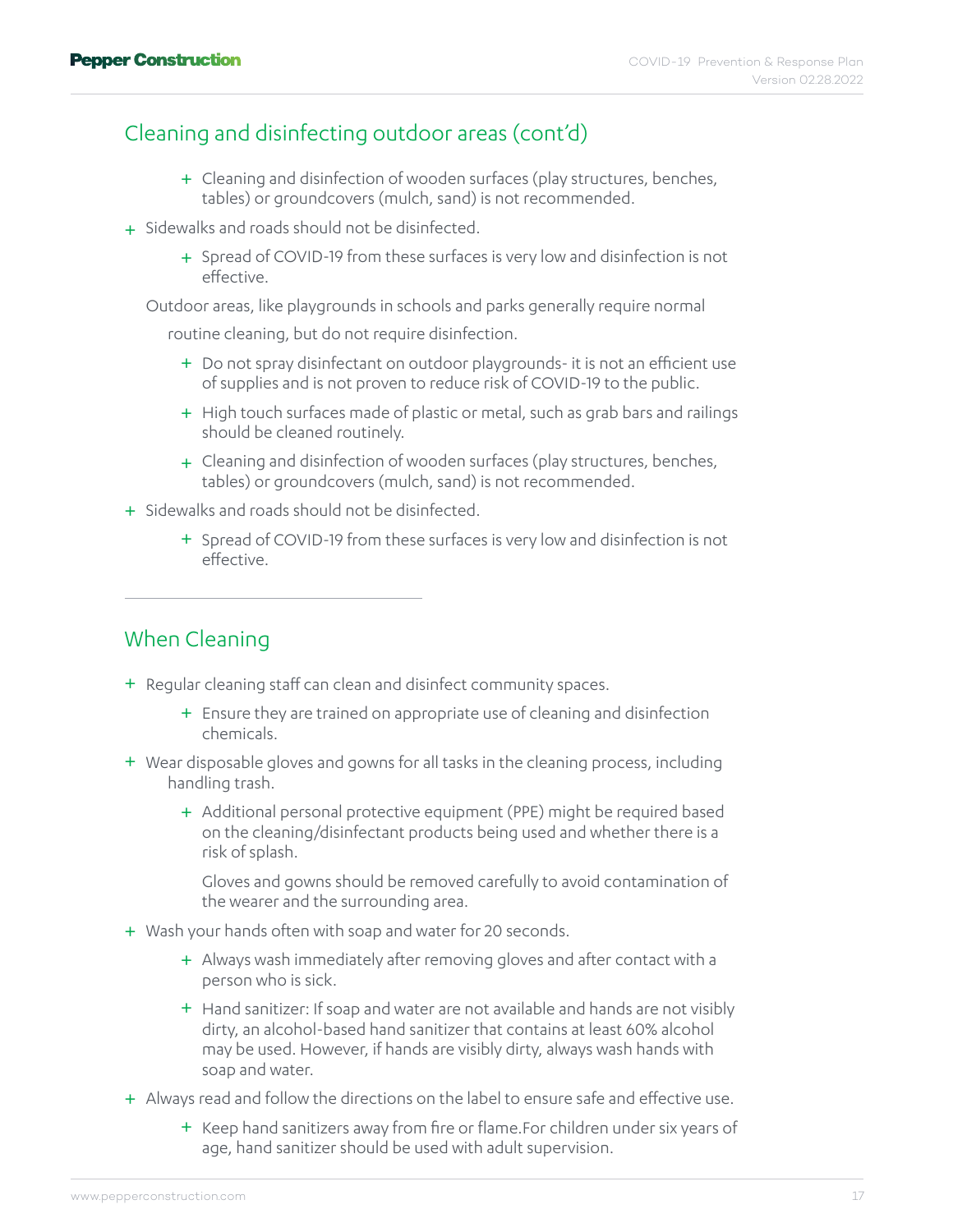#### Cleaning and disinfecting outdoor areas (cont'd)

- + Cleaning and disinfection of wooden surfaces (play structures, benches, tables) or groundcovers (mulch, sand) is not recommended.
- + Sidewalks and roads should not be disinfected.
	- + Spread of COVID-19 from these surfaces is very low and disinfection is not effective.

Outdoor areas, like playgrounds in schools and parks generally require normal

routine cleaning, but do not require disinfection.

- + Do not spray disinfectant on outdoor playgrounds- it is not an efficient use of supplies and is not proven to reduce risk of COVID-19 to the public.
- + High touch surfaces made of plastic or metal, such as grab bars and railings should be cleaned routinely.
- + Cleaning and disinfection of wooden surfaces (play structures, benches, tables) or groundcovers (mulch, sand) is not recommended.
- + Sidewalks and roads should not be disinfected.
	- + Spread of COVID-19 from these surfaces is very low and disinfection is not effective.

#### When Cleaning

- + Regular cleaning staff can clean and disinfect community spaces.
	- + Ensure they are trained on appropriate use of cleaning and disinfection chemicals.
- Wear disposable gloves and gowns for all tasks in the cleaning process, including + handling trash.
	- + Additional personal protective equipment (PPE) might be required based on the cleaning/disinfectant products being used and whether there is a risk of splash.

 Gloves and gowns should be removed carefully to avoid contamination of the wearer and the surrounding area.

- Wash your hands often with soap and water for 20 seconds. +
	- + Always wash immediately after removing gloves and after contact with a person who is sick.
	- + Hand sanitizer: If soap and water are not available and hands are not visibly dirty, an alcohol-based hand sanitizer that contains at least 60% alcohol may be used. However, if hands are visibly dirty, always wash hands with soap and water.
- + Always read and follow the directions on the label to ensure safe and effective use.
	- + Keep hand sanitizers away from fire or flame.For children under six years of age, hand sanitizer should be used with adult supervision.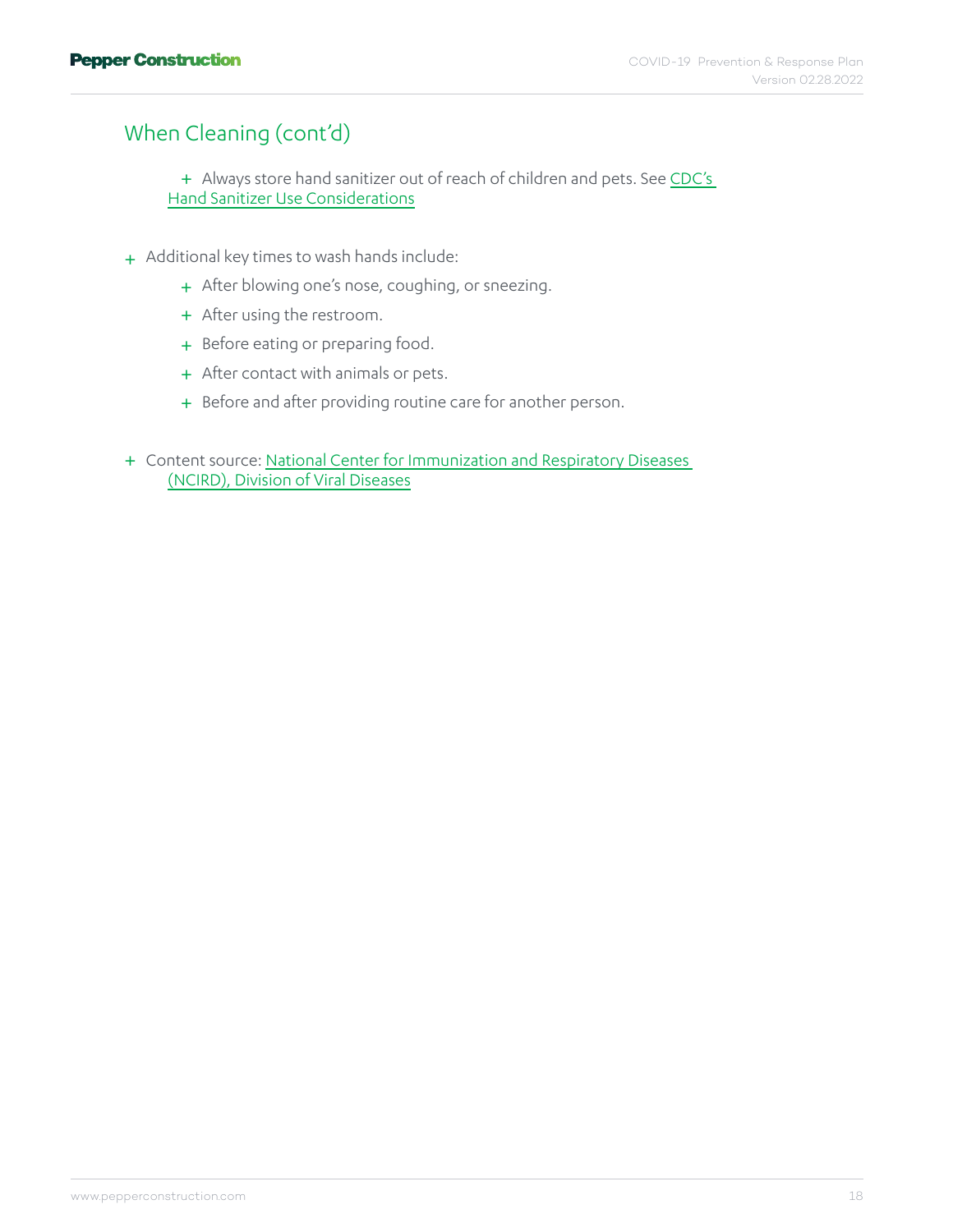#### When Cleaning (cont'd)

+ Always store hand sanitizer out of reach of children and pets. See CDC's [Hand Sanitizer Use Considerations](https://www.cdc.gov/handwashing/hand-sanitizer-use.html)

- + Additional key times to wash hands include:
	- + After blowing one's nose, coughing, or sneezing.
	- + After using the restroom.
	- + Before eating or preparing food.
	- + After contact with animals or pets.
	- + Before and after providing routine care for another person.
- + Content source: National Center for Immunization and Respiratory Diseases [\(NCIRD\), Division of Viral Diseases](https://www.cdc.gov/ncird/index.html)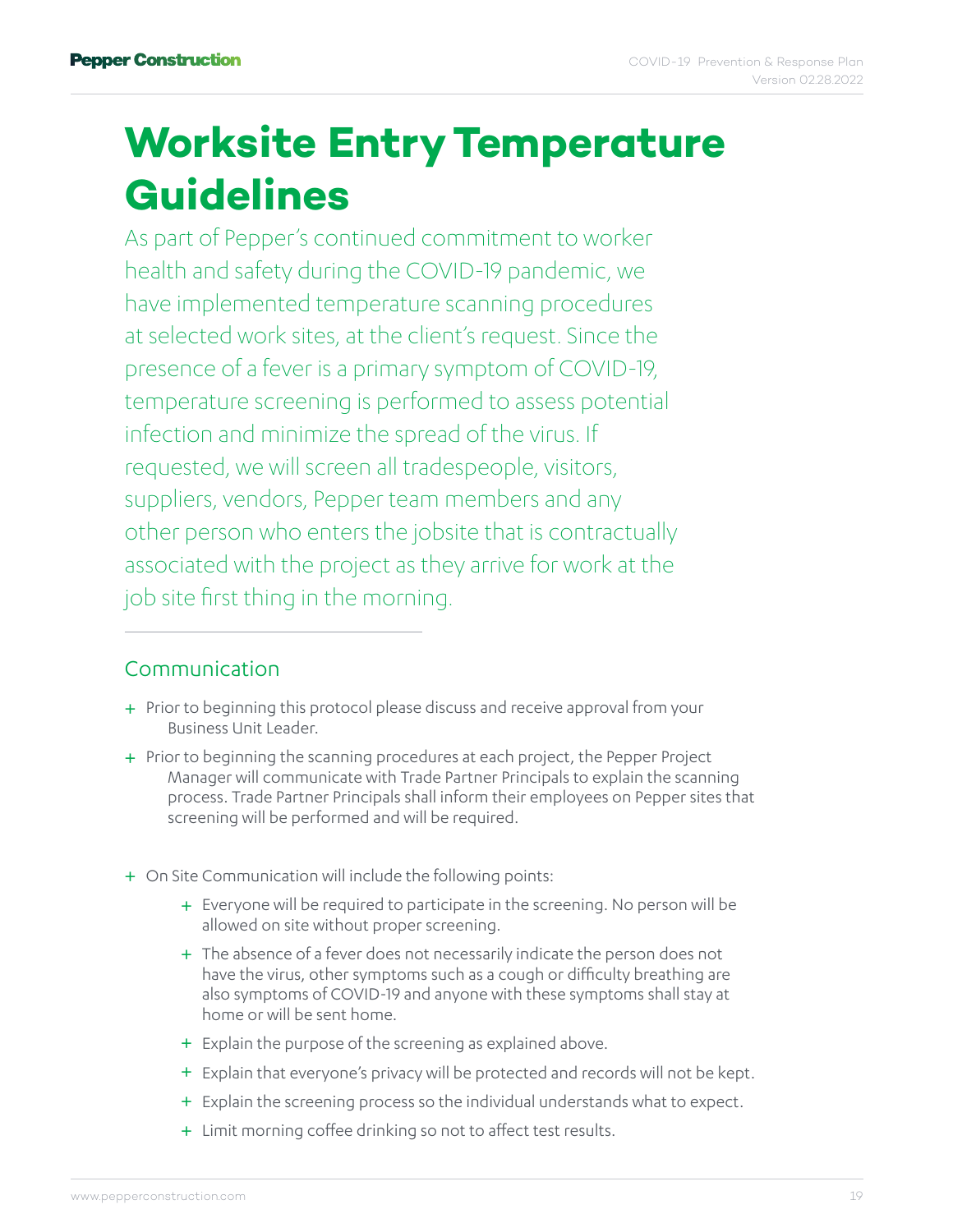### <span id="page-18-0"></span>**Worksite Entry Temperature Guidelines**

As part of Pepper's continued commitment to worker health and safety during the COVID-19 pandemic, we have implemented temperature scanning procedures at selected work sites, at the client's request. Since the presence of a fever is a primary symptom of COVID-19, temperature screening is performed to assess potential infection and minimize the spread of the virus. If requested, we will screen all tradespeople, visitors, suppliers, vendors, Pepper team members and any other person who enters the jobsite that is contractually associated with the project as they arrive for work at the job site first thing in the morning.

#### Communication

- + Prior to beginning this protocol please discuss and receive approval from your Business Unit Leader.
- + Prior to beginning the scanning procedures at each project, the Pepper Project Manager will communicate with Trade Partner Principals to explain the scanning process. Trade Partner Principals shall inform their employees on Pepper sites that screening will be performed and will be required.
- On Site Communication will include the following points: +
	- + Everyone will be required to participate in the screening. No person will be allowed on site without proper screening.
	- + The absence of a fever does not necessarily indicate the person does not have the virus, other symptoms such as a cough or difficulty breathing are also symptoms of COVID-19 and anyone with these symptoms shall stay at home or will be sent home.
	- + Explain the purpose of the screening as explained above.
	- + Explain that everyone's privacy will be protected and records will not be kept.
	- + Explain the screening process so the individual understands what to expect.
	- + Limit morning coffee drinking so not to affect test results.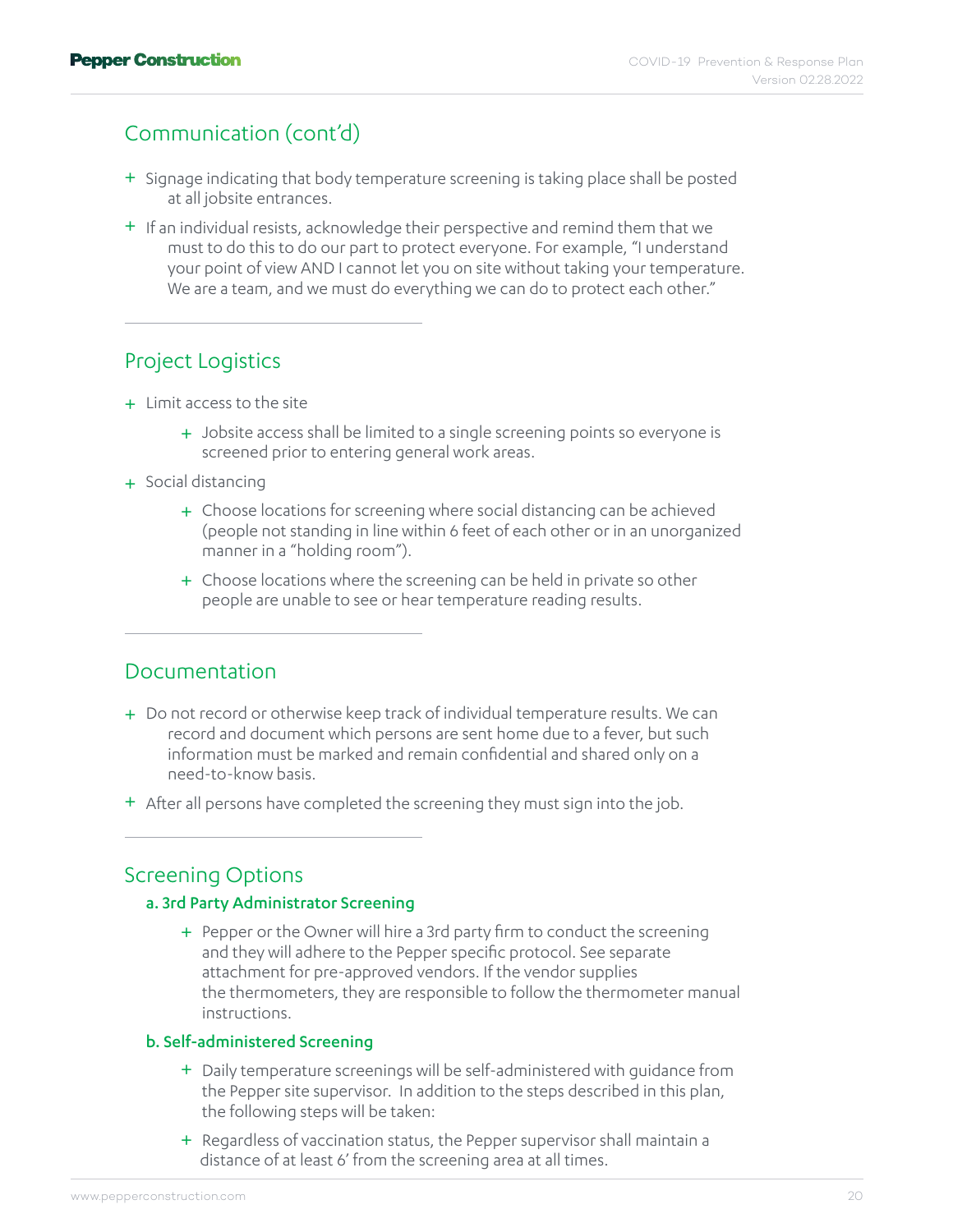#### Communication (cont'd)

- + Signage indicating that body temperature screening is taking place shall be posted at all jobsite entrances.
- + If an individual resists, acknowledge their perspective and remind them that we must to do this to do our part to protect everyone. For example, "I understand your point of view AND I cannot let you on site without taking your temperature. We are a team, and we must do everything we can do to protect each other."

#### Project Logistics

- + Limit access to the site
	- + Jobsite access shall be limited to a single screening points so everyone is screened prior to entering general work areas.
- Social distancing +
	- Choose locations for screening where social distancing can be achieved + (people not standing in line within 6 feet of each other or in an unorganized manner in a "holding room").
	- + Choose locations where the screening can be held in private so other people are unable to see or hear temperature reading results.

#### Documentation

- + Do not record or otherwise keep track of individual temperature results. We can record and document which persons are sent home due to a fever, but such information must be marked and remain confidential and shared only on a need-to-know basis.
- + After all persons have completed the screening they must sign into the job.

#### Screening Options

#### a. 3rd Party Administrator Screening

+ Pepper or the Owner will hire a 3rd party firm to conduct the screening and they will adhere to the Pepper specific protocol. See separate attachment for pre-approved vendors. If the vendor supplies the thermometers, they are responsible to follow the thermometer manual instructions.

#### b. Self-administered Screening

- Daily temperature screenings will be self-administered with guidance from + the Pepper site supervisor. In addition to the steps described in this plan, the following steps will be taken:
- + Regardless of vaccination status, the Pepper supervisor shall maintain a distance of at least 6' from the screening area at all times.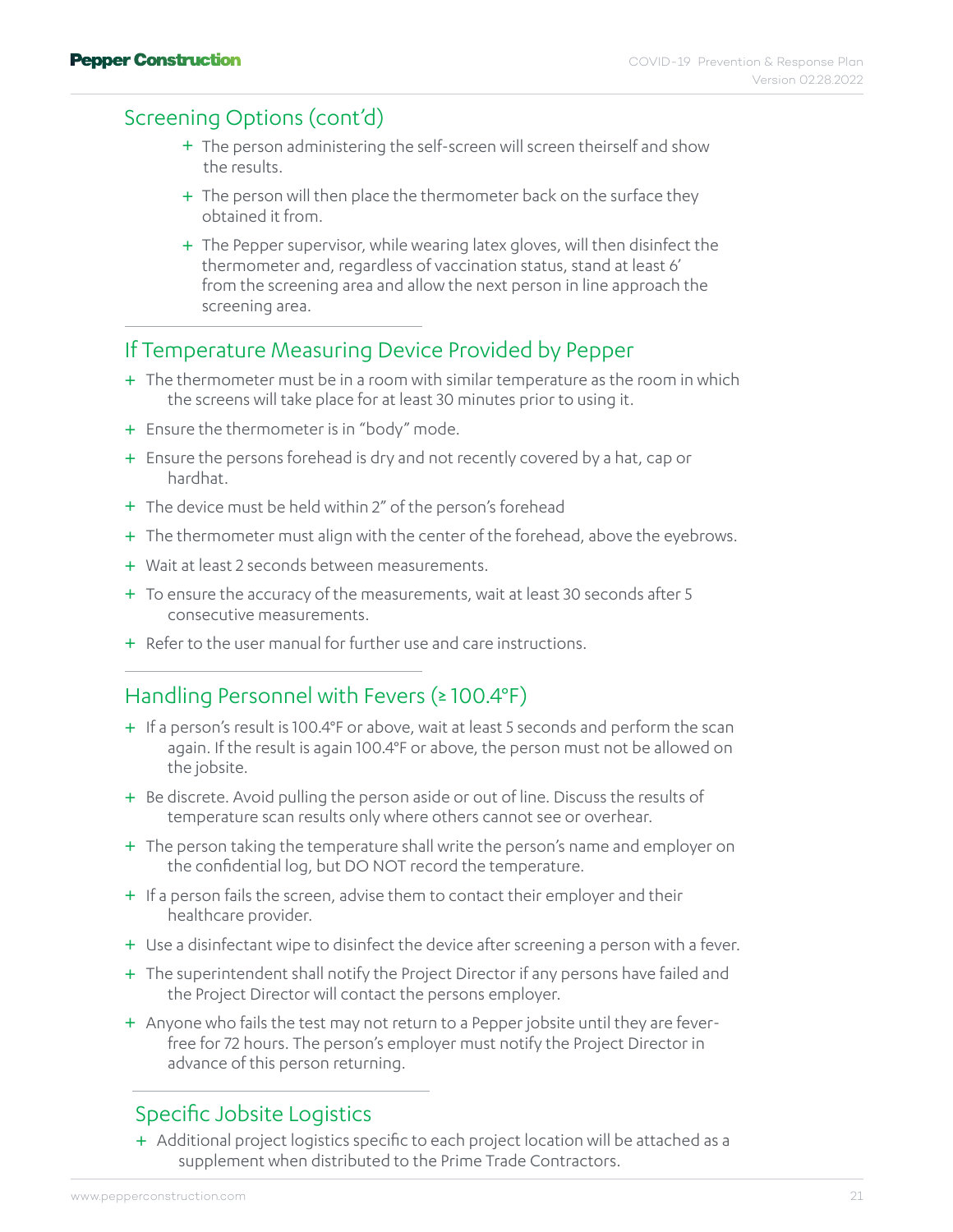#### Screening Options (cont'd)

- + The person administering the self-screen will screen theirself and show the results.
- + The person will then place the thermometer back on the surface they obtained it from.
- + The Pepper supervisor, while wearing latex gloves, will then disinfect the thermometer and, regardless of vaccination status, stand at least 6' from the screening area and allow the next person in line approach the screening area.

#### If Temperature Measuring Device Provided by Pepper

- + The thermometer must be in a room with similar temperature as the room in which the screens will take place for at least 30 minutes prior to using it.
- + Ensure the thermometer is in "body" mode.
- + Ensure the persons forehead is dry and not recently covered by a hat, cap or hardhat.
- + The device must be held within 2" of the person's forehead
- + The thermometer must align with the center of the forehead, above the eyebrows.
- + Wait at least 2 seconds between measurements.
- + To ensure the accuracy of the measurements, wait at least 30 seconds after 5 consecutive measurements.
- + Refer to the user manual for further use and care instructions.

#### Handling Personnel with Fevers (≥ 100.4°F)

- + If a person's result is 100.4°F or above, wait at least 5 seconds and perform the scan again. If the result is again 100.4°F or above, the person must not be allowed on the jobsite.
- + Be discrete. Avoid pulling the person aside or out of line. Discuss the results of temperature scan results only where others cannot see or overhear.
- + The person taking the temperature shall write the person's name and employer on the confidential log, but DO NOT record the temperature.
- + If a person fails the screen, advise them to contact their employer and their healthcare provider.
- + Use a disinfectant wipe to disinfect the device after screening a person with a fever.
- + The superintendent shall notify the Project Director if any persons have failed and the Project Director will contact the persons employer.
- + Anyone who fails the test may not return to a Pepper jobsite until they are feverfree for 72 hours. The person's employer must notify the Project Director in advance of this person returning.

#### Specific Jobsite Logistics

+ Additional project logistics specific to each project location will be attached as a supplement when distributed to the Prime Trade Contractors.